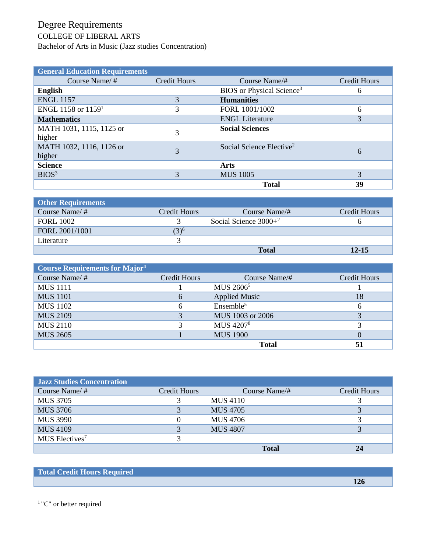## Degree Requirements

## COLLEGE OF LIBERAL ARTS

Bachelor of Arts in Music (Jazz studies Concentration)

| <b>General Education Requirements</b> |                     |                                       |              |
|---------------------------------------|---------------------|---------------------------------------|--------------|
| Course Name/ $#$                      | <b>Credit Hours</b> | Course Name/#                         | Credit Hours |
| <b>English</b>                        |                     | BIOS or Physical Science <sup>3</sup> | 6            |
| <b>ENGL 1157</b>                      |                     | <b>Humanities</b>                     |              |
| ENGL 1158 or $11591$                  | 3                   | FORL 1001/1002                        | 6            |
| <b>Mathematics</b>                    |                     | <b>ENGL Literature</b>                | 3            |
| MATH 1031, 1115, 1125 or<br>higher    | 3                   | <b>Social Sciences</b>                |              |
| MATH 1032, 1116, 1126 or<br>higher    | 3                   | Social Science Elective <sup>2</sup>  | 6            |
| <b>Science</b>                        |                     | Arts                                  |              |
| BIOS <sup>3</sup>                     | 3                   | <b>MUS 1005</b>                       | 3            |
|                                       |                     | <b>Total</b>                          | 39           |

| <b>Other Requirements</b> |              |                         |              |
|---------------------------|--------------|-------------------------|--------------|
| Course Name/ $#$          | Credit Hours | Course Name/#           | Credit Hours |
| <b>FORL 1002</b>          |              | Social Science $3000+2$ |              |
| FORL 2001/1001            | $(3)^6$      |                         |              |
| Literature                |              |                         |              |
|                           |              | <b>Total</b>            | $12 - 15$    |

| <b>Course Requirements for Major<sup>4</sup></b> |              |                       |              |
|--------------------------------------------------|--------------|-----------------------|--------------|
| Course Name/#                                    | Credit Hours | Course Name/#         | Credit Hours |
| <b>MUS</b> 1111                                  |              | MUS 2606 <sup>5</sup> |              |
| <b>MUS 1101</b>                                  | 6            | <b>Applied Music</b>  | 18           |
| <b>MUS</b> 1102                                  | 6            | Ensemble <sup>5</sup> | 6            |
| <b>MUS 2109</b>                                  | 3            | MUS 1003 or 2006      |              |
| <b>MUS 2110</b>                                  | 3            | MUS 4207 <sup>8</sup> |              |
| <b>MUS 2605</b>                                  |              | <b>MUS 1900</b>       |              |
|                                                  |              | <b>Total</b>          | 51           |

| <b>Jazz Studies Concentration</b> |              |                 |                     |
|-----------------------------------|--------------|-----------------|---------------------|
| Course Name/#                     | Credit Hours | Course Name/#   | <b>Credit Hours</b> |
| <b>MUS 3705</b>                   |              | <b>MUS 4110</b> |                     |
| <b>MUS 3706</b>                   |              | <b>MUS 4705</b> |                     |
| <b>MUS 3990</b>                   | 0            | MUS 4706        |                     |
| <b>MUS 4109</b>                   |              | <b>MUS 4807</b> |                     |
| MUS Electives <sup>7</sup>        |              |                 |                     |
|                                   |              | <b>Total</b>    | 24                  |

 **126**

## **Total Credit Hours Required**